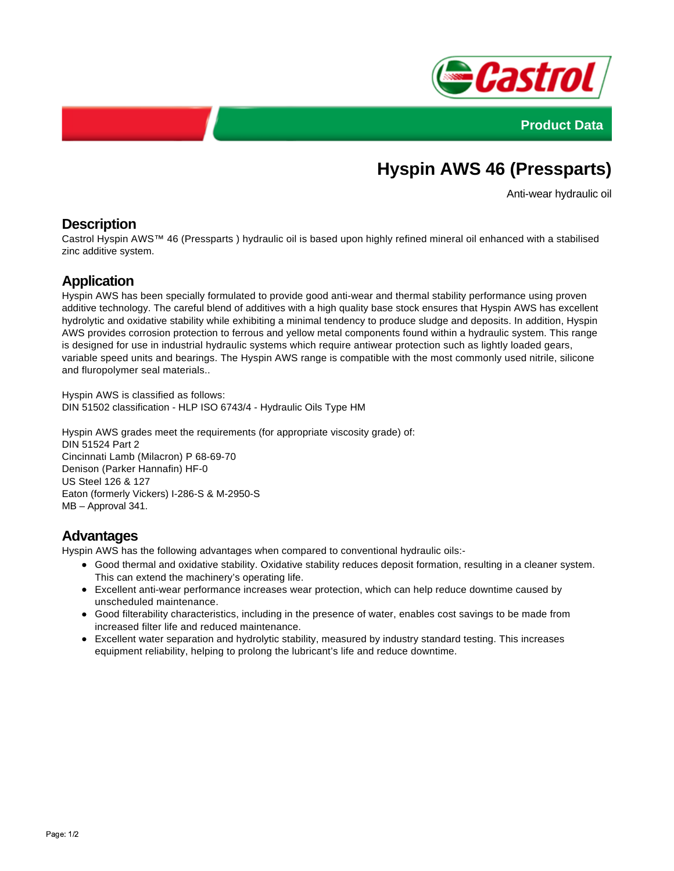



# **Hyspin AWS 46 (Pressparts)**

Anti-wear hydraulic oil

### **Description**

Castrol Hyspin AWS™ 46 (Pressparts ) hydraulic oil is based upon highly refined mineral oil enhanced with a stabilised zinc additive system.

## **Application**

Hyspin AWS has been specially formulated to provide good anti-wear and thermal stability performance using proven additive technology. The careful blend of additives with a high quality base stock ensures that Hyspin AWS has excellent hydrolytic and oxidative stability while exhibiting a minimal tendency to produce sludge and deposits. In addition, Hyspin AWS provides corrosion protection to ferrous and yellow metal components found within a hydraulic system. This range is designed for use in industrial hydraulic systems which require antiwear protection such as lightly loaded gears, variable speed units and bearings. The Hyspin AWS range is compatible with the most commonly used nitrile, silicone and fluropolymer seal materials..

Hyspin AWS is classified as follows: DIN 51502 classification - HLP ISO 6743/4 - Hydraulic Oils Type HM

Hyspin AWS grades meet the requirements (for appropriate viscosity grade) of: DIN 51524 Part 2 Cincinnati Lamb (Milacron) P 68-69-70 Denison (Parker Hannafin) HF-0 US Steel 126 & 127 Eaton (formerly Vickers) I-286-S & M-2950-S MB – Approval 341.

### **Advantages**

Hyspin AWS has the following advantages when compared to conventional hydraulic oils:-

- Good thermal and oxidative stability. Oxidative stability reduces deposit formation, resulting in a cleaner system. This can extend the machinery's operating life.
- Excellent anti-wear performance increases wear protection, which can help reduce downtime caused by unscheduled maintenance.
- Good filterability characteristics, including in the presence of water, enables cost savings to be made from increased filter life and reduced maintenance.
- Excellent water separation and hydrolytic stability, measured by industry standard testing. This increases equipment reliability, helping to prolong the lubricant's life and reduce downtime.